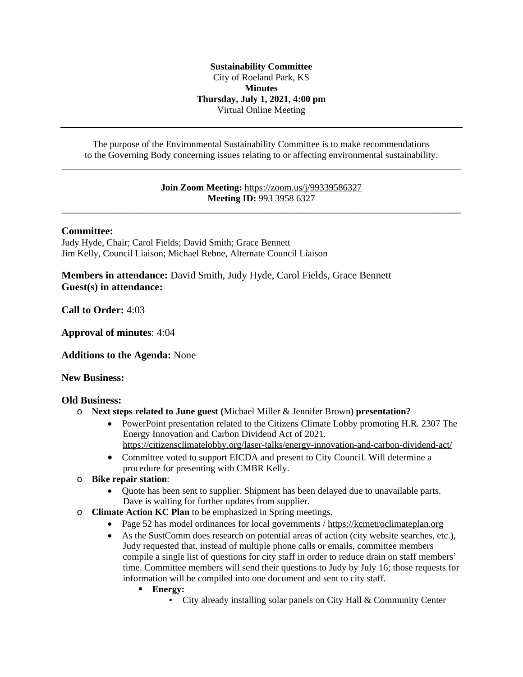#### **Sustainability Committee** City of Roeland Park, KS **Minutes Thursday, July 1, 2021, 4:00 pm** Virtual Online Meeting

The purpose of the Environmental Sustainability Committee is to make recommendations to the Governing Body concerning issues relating to or affecting environmental sustainability. \_\_\_\_\_\_\_\_\_\_\_\_\_\_\_\_\_\_\_\_\_\_\_\_\_\_\_\_\_\_\_\_\_\_\_\_\_\_\_\_\_\_\_\_\_\_\_\_\_\_\_\_\_\_\_\_\_\_\_\_\_\_\_\_\_\_\_\_\_\_\_\_\_\_\_\_\_\_\_\_\_\_\_\_\_

### **Join Zoom Meeting:** <https://zoom.us/j/99339586327> **[Meeting ID:](https://zoom.us/j/99339586327)** [993 3958 6327](https://zoom.us/j/99339586327) [\\_\\_\\_\\_\\_\\_\\_\\_\\_\\_\\_\\_\\_\\_\\_\\_\\_\\_\\_\\_\\_\\_\\_\\_\\_\\_\\_\\_\\_\\_\\_\\_\\_\\_\\_\\_\\_\\_\\_\\_\\_\\_\\_\\_\\_\\_\\_\\_\\_\\_\\_\\_\\_\\_\\_\\_\\_\\_\\_\\_\\_\\_\\_\\_\\_\\_\\_\\_\\_\\_\\_\\_\\_\\_\\_\\_\\_\\_\\_\\_\\_\\_\\_\\_\\_](https://zoom.us/j/99339586327)

### **[Committee:](https://zoom.us/j/99339586327)**

[Judy Hyde, Chair; Carol Fields; David Smith; Grace Bennett](https://zoom.us/j/99339586327) [Jim Kelly, Council Liaison; Michael Rebne, Alternate Council Liaison](https://zoom.us/j/99339586327)

**[Members in attendance:](https://zoom.us/j/99339586327)** [David Smith, Judy Hyde, Carol Fields, Grace Bennett](https://zoom.us/j/99339586327) **[Guest\(s\)](https://zoom.us/j/99339586327) [in attendance:](https://zoom.us/j/99339586327)**

**[Call to Order:](https://zoom.us/j/99339586327)** [4:03](https://zoom.us/j/99339586327)

**[Approval of minutes](https://zoom.us/j/99339586327)**[: 4:04](https://zoom.us/j/99339586327)

**[Additions to the Agenda:](https://zoom.us/j/99339586327)** [None](https://zoom.us/j/99339586327)

### **[New Business:](https://zoom.us/j/99339586327)**

### **[Old Business:](https://zoom.us/j/99339586327)**

- o **[Next steps related to June guest \(](https://zoom.us/j/99339586327)**[Michael Miller & Jennifer Brown\)](https://zoom.us/j/99339586327) **[presentation?](https://zoom.us/j/99339586327)**
	- [PowerPoint](https://zoom.us/j/99339586327) presentation related to the Citizens Climate Lobby promoting H.R. 2307 The [Energy Innovation and Carbon Dividend Act of 2021.](https://zoom.us/j/99339586327) <https://citizensclimatelobby.org/laser-talks/energy-innovation-and-carbon-dividend-act/>
	- Committee voted to support EICDA and present to City Council. Will determine a [procedure](https://citizensclimatelobby.org/laser-talks/energy-innovation-and-carbon-dividend-act/) [for presenting with](https://citizensclimatelobby.org/laser-talks/energy-innovation-and-carbon-dividend-act/) [CMBR Kelly.](https://citizensclimatelobby.org/laser-talks/energy-innovation-and-carbon-dividend-act/)
- o **[Bike repair station](https://citizensclimatelobby.org/laser-talks/energy-innovation-and-carbon-dividend-act/)**[:](https://citizensclimatelobby.org/laser-talks/energy-innovation-and-carbon-dividend-act/)
	- [Quote has been sent to supplier. Shipment has been delayed due to unavailable parts.](https://citizensclimatelobby.org/laser-talks/energy-innovation-and-carbon-dividend-act/)  [Dave is waiting for further updates from supplier.](https://citizensclimatelobby.org/laser-talks/energy-innovation-and-carbon-dividend-act/)
- o **[Climate Action KC Plan](https://citizensclimatelobby.org/laser-talks/energy-innovation-and-carbon-dividend-act/)** [to be emphasized in Spring meetings.](https://citizensclimatelobby.org/laser-talks/energy-innovation-and-carbon-dividend-act/)
	- [Page 52 has model ordinances for local governments /](https://citizensclimatelobby.org/laser-talks/energy-innovation-and-carbon-dividend-act/) [https://kcmetroclimateplan.org](https://kcmetroclimateplan.org/)
	- [As the SustComm does research on potential areas of action \(city website searches, etc.\),](https://kcmetroclimateplan.org/)  [Judy requested that, instead of multiple phone calls or emails,](https://kcmetroclimateplan.org/) [committee members](https://kcmetroclimateplan.org/) [compile a single list of questions for city staff](https://kcmetroclimateplan.org/) [in order to reduce drain on staff members](https://kcmetroclimateplan.org/)['](https://kcmetroclimateplan.org/) [time. Committee members will send their](https://kcmetroclimateplan.org/) [questions to Judy](https://kcmetroclimateplan.org/) [by July 16; those requests for](https://kcmetroclimateplan.org/) [information will be](https://kcmetroclimateplan.org/) [compiled into one document and sent to city staff.](https://kcmetroclimateplan.org/)
		- **[Energy:](https://kcmetroclimateplan.org/)**
			- [City already installing solar panels on City Hall & Community Center](https://kcmetroclimateplan.org/)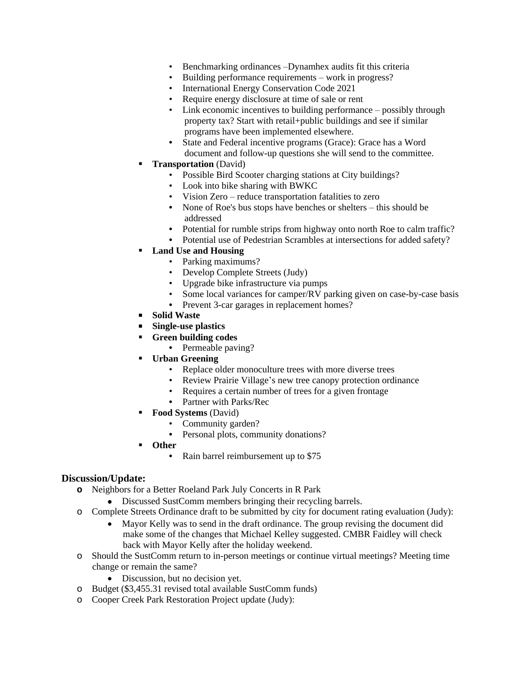- Benchmarking ordinances –Dynamhex audits fit this criteria
- Building performance requirements work in progress?
- International Energy Conservation Code 2021
- Require energy disclosure at time of sale or rent
- Link economic incentives to building performance possibly through property tax? Start with retail+public buildings and see if similar programs have been implemented elsewhere.
- **•** State and Federal incentive programs (Grace): Grace has a Word document and follow-up questions she will send to the committee.
- **Transportation** (David)
	- Possible Bird Scooter charging stations at City buildings?
	- Look into bike sharing with BWKC
	- Vision Zero reduce transportation fatalities to zero
	- None of Roe's bus stops have benches or shelters this should be addressed
	- **•** Potential for rumble strips from highway onto north Roe to calm traffic?
	- **•** Potential use of Pedestrian Scrambles at intersections for added safety?

## **Land Use and Housing**

- Parking maximums?
- Develop Complete Streets (Judy)
- Upgrade bike infrastructure via pumps
- Some local variances for camper/RV parking given on case-by-case basis
- Prevent 3-car garages in replacement homes?
- **Solid Waste**
- **Single-use plastics**
- **Green building codes**
	- **•** Permeable paving?
- **Urban Greening**
	- Replace older monoculture trees with more diverse trees
	- Review Prairie Village's new tree canopy protection ordinance
	- Requires a certain number of trees for a given frontage
	- **•** Partner with Parks/Rec
- **Food Systems** (David)
	- Community garden?
	- **•** Personal plots, community donations?
- **Other**
	- **•** Rain barrel reimbursement up to \$75

# **Discussion/Update:**

- **o** Neighbors for a Better Roeland Park July Concerts in R Park
	- Discussed SustComm members bringing their recycling barrels.
- o Complete Streets Ordinance draft to be submitted by city for document rating evaluation (Judy):
	- Mayor Kelly was to send in the draft ordinance. The group revising the document did make some of the changes that Michael Kelley suggested. CMBR Faidley will check back with Mayor Kelly after the holiday weekend.
- o Should the SustComm return to in-person meetings or continue virtual meetings? Meeting time change or remain the same?
	- Discussion, but no decision yet.
- o Budget (\$3,455.31 revised total available SustComm funds)
- o Cooper Creek Park Restoration Project update (Judy):